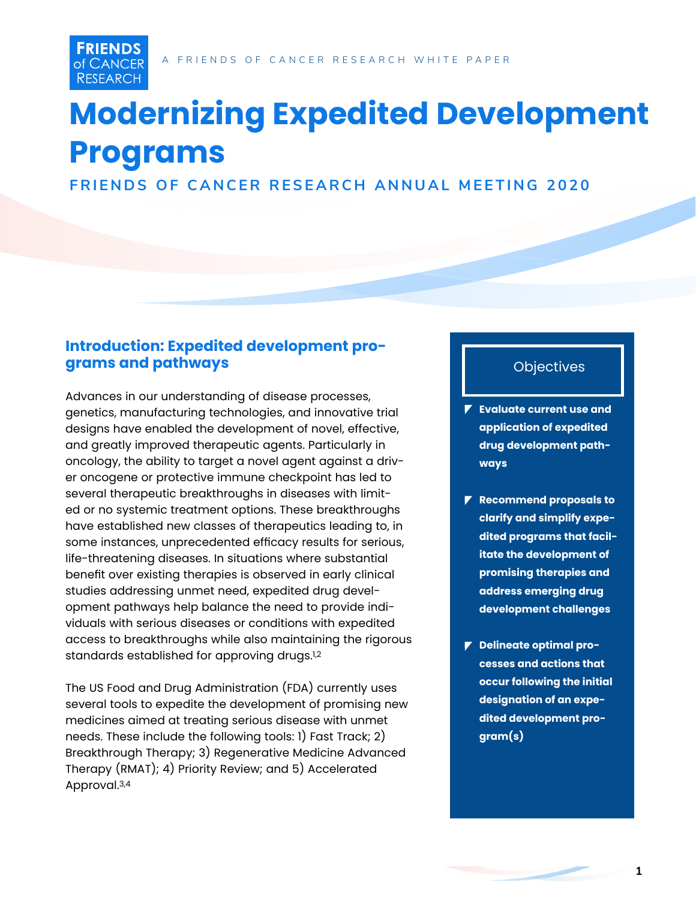# **Modernizing Expedited Development Programs**

**FRIENDS OF CANCER RESEARCH ANNUAL MEETING 2020**

## **Introduction: Expedited development programs and pathways**

**FRIENDS** of CANCER **RESEARCH** 

Advances in our understanding of disease processes, genetics, manufacturing technologies, and innovative trial designs have enabled the development of novel, effective, and greatly improved therapeutic agents. Particularly in oncology, the ability to target a novel agent against a driver oncogene or protective immune checkpoint has led to several therapeutic breakthroughs in diseases with limited or no systemic treatment options. These breakthroughs have established new classes of therapeutics leading to, in some instances, unprecedented efficacy results for serious, life-threatening diseases. In situations where substantial benefit over existing therapies is observed in early clinical studies addressing unmet need, expedited drug development pathways help balance the need to provide individuals with serious diseases or conditions with expedited access to breakthroughs while also maintaining the rigorous standards established for approving drugs.1,2

The US Food and Drug Administration (FDA) currently uses several tools to expedite the development of promising new medicines aimed at treating serious disease with unmet needs. These include the following tools: 1) Fast Track; 2) Breakthrough Therapy; 3) Regenerative Medicine Advanced Therapy (RMAT); 4) Priority Review; and 5) Accelerated Approval.3,4

## **Objectives**

- **Evaluate current use and application of expedited drug development pathways**
- **Recommend proposals to clarify and simplify expedited programs that facilitate the development of promising therapies and address emerging drug development challenges**
- **Delineate optimal processes and actions that occur following the initial designation of an expedited development program(s)**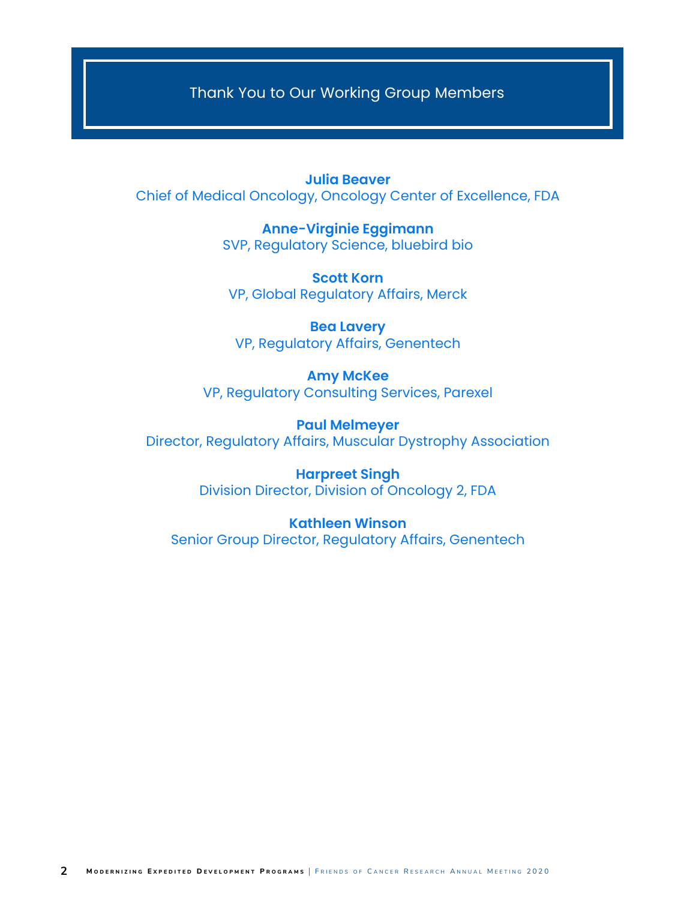Thank You to Our Working Group Members

**Julia Beaver** Chief of Medical Oncology, Oncology Center of Excellence, FDA

> **Anne-Virginie Eggimann** SVP, Regulatory Science, bluebird bio

**Scott Korn** VP, Global Regulatory Affairs, Merck

**Bea Lavery** VP, Regulatory Affairs, Genentech

**Amy McKee** VP, Regulatory Consulting Services, Parexel

**Paul Melmeyer** Director, Regulatory Affairs, Muscular Dystrophy Association

> **Harpreet Singh** Division Director, Division of Oncology 2, FDA

**Kathleen Winson** Senior Group Director, Regulatory Affairs, Genentech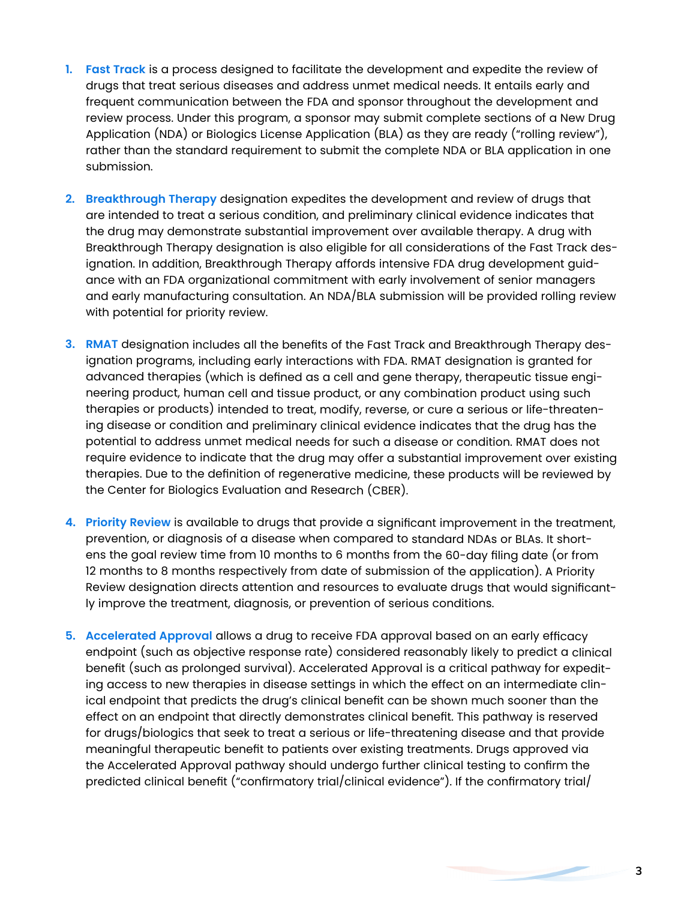- **1. Fast Track** is a process designed to facilitate the development and expedite the review of drugs that treat serious diseases and address unmet medical needs. It entails early and frequent communication between the FDA and sponsor throughout the development and review process. Under this program, a sponsor may submit complete sections of a New Drug Application (NDA) or Biologics License Application (BLA) as they are ready ("rolling review"), rather than the standard requirement to submit the complete NDA or BLA application in one submission.
- **2. Breakthrough Therapy** designation expedites the development and review of drugs that are intended to treat a serious condition, and preliminary clinical evidence indicates that the drug may demonstrate substantial improvement over available therapy. A drug with Breakthrough Therapy designation is also eligible for all considerations of the Fast Track designation. In addition, Breakthrough Therapy affords intensive FDA drug development guidance with an FDA organizational commitment with early involvement of senior managers and early manufacturing consultation. An NDA/BLA submission will be provided rolling review with potential for priority review.
- **3. RMAT** designation includes all the benefits of the Fast Track and Breakthrough Therapy designation programs, including early interactions with FDA. RMAT designation is granted for advanced therapies (which is defined as a cell and gene therapy, therapeutic tissue engineering product, human cell and tissue product, or any combination product using such therapies or products) intended to treat, modify, reverse, or cure a serious or life-threatening disease or condition and preliminary clinical evidence indicates that the drug has the potential to address unmet medical needs for such a disease or condition. RMAT does not require evidence to indicate that the drug may offer a substantial improvement over existing therapies. Due to the definition of regenerative medicine, these products will be reviewed by the Center for Biologics Evaluation and Research (CBER).
- **4. Priority Review** is available to drugs that provide a significant improvement in the treatment, prevention, or diagnosis of a disease when compared to standard NDAs or BLAs. It shortens the goal review time from 10 months to 6 months from the 60-day filing date (or from 12 months to 8 months respectively from date of submission of the application). A Priority Review designation directs attention and resources to evaluate drugs that would significantly improve the treatment, diagnosis, or prevention of serious conditions.
- **5. Accelerated Approval** allows a drug to receive FDA approval based on an early efficacy endpoint (such as objective response rate) considered reasonably likely to predict a clinical benefit (such as prolonged survival). Accelerated Approval is a critical pathway for expediting access to new therapies in disease settings in which the effect on an intermediate clinical endpoint that predicts the drug's clinical benefit can be shown much sooner than the effect on an endpoint that directly demonstrates clinical benefit. This pathway is reserved for drugs/biologics that seek to treat a serious or life-threatening disease and that provide meaningful therapeutic benefit to patients over existing treatments. Drugs approved via the Accelerated Approval pathway should undergo further clinical testing to confirm the predicted clinical benefit ("confirmatory trial/clinical evidence"). If the confirmatory trial/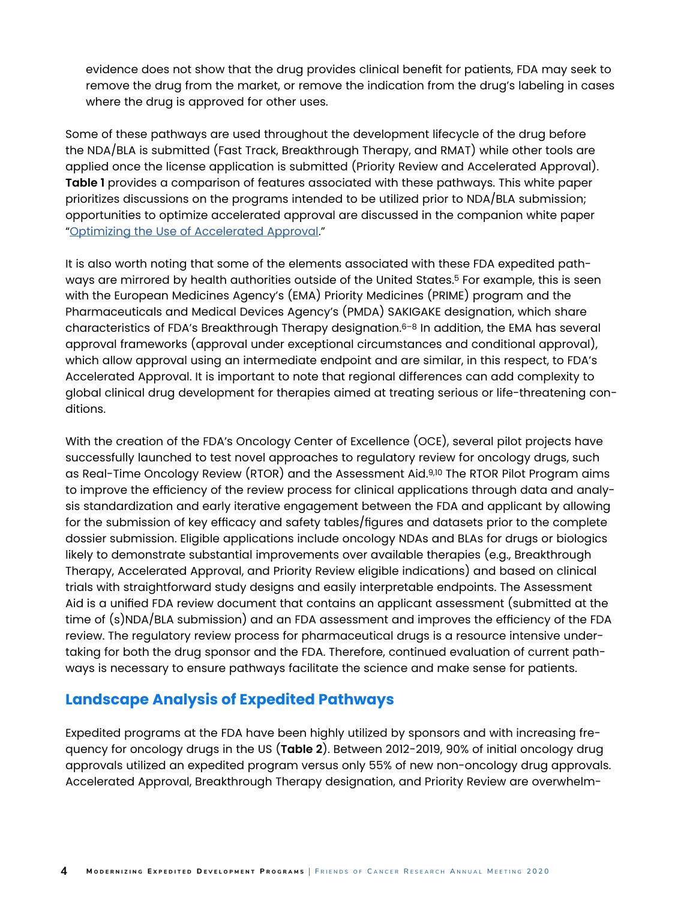evidence does not show that the drug provides clinical benefit for patients, FDA may seek to remove the drug from the market, or remove the indication from the drug's labeling in cases where the drug is approved for other uses.

Some of these pathways are used throughout the development lifecycle of the drug before the NDA/BLA is submitted (Fast Track, Breakthrough Therapy, and RMAT) while other tools are applied once the license application is submitted (Priority Review and Accelerated Approval). **Table 1** provides a comparison of features associated with these pathways. This white paper prioritizes discussions on the programs intended to be utilized prior to NDA/BLA submission; opportunities to optimize accelerated approval are discussed in the companion white paper ["Optimizing the Use of Accelerated Approval](https://friendsofcancerresearch.org/sites/default/files/2020-11/Optimizing_the_Use_of_Accelerated_Approval-2020.pdf)."

It is also worth noting that some of the elements associated with these FDA expedited pathways are mirrored by health authorities outside of the United States.<sup>5</sup> For example, this is seen with the European Medicines Agency's (EMA) Priority Medicines (PRIME) program and the Pharmaceuticals and Medical Devices Agency's (PMDA) SAKIGAKE designation, which share characteristics of FDA's Breakthrough Therapy designation.<sup>6-8</sup> In addition, the EMA has several approval frameworks (approval under exceptional circumstances and conditional approval), which allow approval using an intermediate endpoint and are similar, in this respect, to FDA's Accelerated Approval. It is important to note that regional differences can add complexity to global clinical drug development for therapies aimed at treating serious or life-threatening conditions.

With the creation of the FDA's Oncology Center of Excellence (OCE), several pilot projects have successfully launched to test novel approaches to regulatory review for oncology drugs, such as Real-Time Oncology Review (RTOR) and the Assessment Aid.9,10 The RTOR Pilot Program aims to improve the efficiency of the review process for clinical applications through data and analysis standardization and early iterative engagement between the FDA and applicant by allowing for the submission of key efficacy and safety tables/figures and datasets prior to the complete dossier submission. Eligible applications include oncology NDAs and BLAs for drugs or biologics likely to demonstrate substantial improvements over available therapies (e.g., Breakthrough Therapy, Accelerated Approval, and Priority Review eligible indications) and based on clinical trials with straightforward study designs and easily interpretable endpoints. The Assessment Aid is a unified FDA review document that contains an applicant assessment (submitted at the time of (s)NDA/BLA submission) and an FDA assessment and improves the efficiency of the FDA review. The regulatory review process for pharmaceutical drugs is a resource intensive undertaking for both the drug sponsor and the FDA. Therefore, continued evaluation of current pathways is necessary to ensure pathways facilitate the science and make sense for patients.

## **Landscape Analysis of Expedited Pathways**

Expedited programs at the FDA have been highly utilized by sponsors and with increasing frequency for oncology drugs in the US (**Table 2**). Between 2012-2019, 90% of initial oncology drug approvals utilized an expedited program versus only 55% of new non-oncology drug approvals. Accelerated Approval, Breakthrough Therapy designation, and Priority Review are overwhelm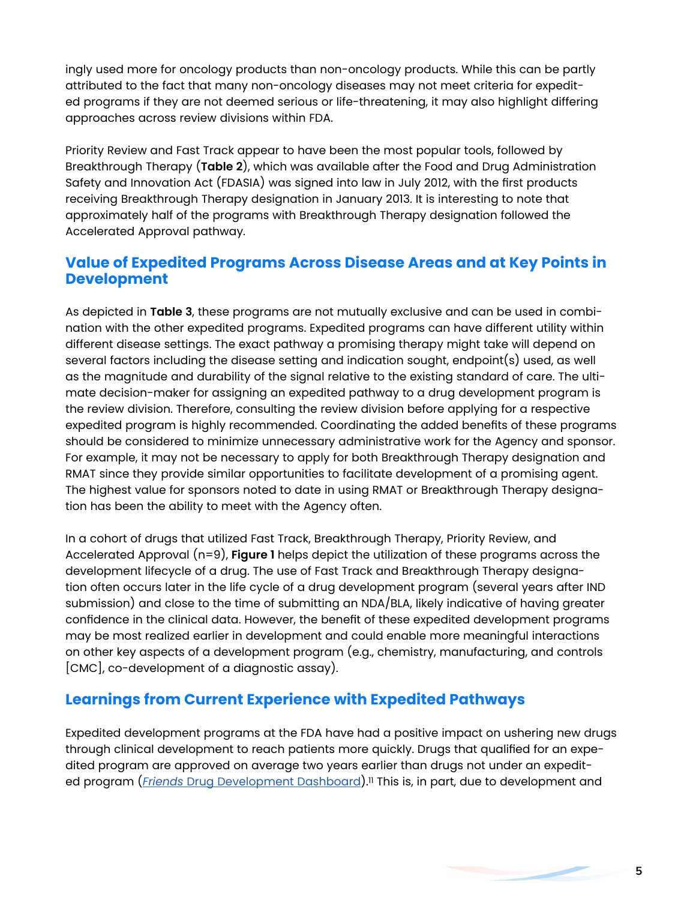ingly used more for oncology products than non-oncology products. While this can be partly attributed to the fact that many non-oncology diseases may not meet criteria for expedited programs if they are not deemed serious or life-threatening, it may also highlight differing approaches across review divisions within FDA.

Priority Review and Fast Track appear to have been the most popular tools, followed by Breakthrough Therapy (**Table 2**), which was available after the Food and Drug Administration Safety and Innovation Act (FDASIA) was signed into law in July 2012, with the first products receiving Breakthrough Therapy designation in January 2013. It is interesting to note that approximately half of the programs with Breakthrough Therapy designation followed the Accelerated Approval pathway.

## **Value of Expedited Programs Across Disease Areas and at Key Points in Development**

As depicted in **Table 3**, these programs are not mutually exclusive and can be used in combination with the other expedited programs. Expedited programs can have different utility within different disease settings. The exact pathway a promising therapy might take will depend on several factors including the disease setting and indication sought, endpoint(s) used, as well as the magnitude and durability of the signal relative to the existing standard of care. The ultimate decision-maker for assigning an expedited pathway to a drug development program is the review division. Therefore, consulting the review division before applying for a respective expedited program is highly recommended. Coordinating the added benefits of these programs should be considered to minimize unnecessary administrative work for the Agency and sponsor. For example, it may not be necessary to apply for both Breakthrough Therapy designation and RMAT since they provide similar opportunities to facilitate development of a promising agent. The highest value for sponsors noted to date in using RMAT or Breakthrough Therapy designation has been the ability to meet with the Agency often.

In a cohort of drugs that utilized Fast Track, Breakthrough Therapy, Priority Review, and Accelerated Approval (n=9), **Figure 1** helps depict the utilization of these programs across the development lifecycle of a drug. The use of Fast Track and Breakthrough Therapy designation often occurs later in the life cycle of a drug development program (several years after IND submission) and close to the time of submitting an NDA/BLA, likely indicative of having greater confidence in the clinical data. However, the benefit of these expedited development programs may be most realized earlier in development and could enable more meaningful interactions on other key aspects of a development program (e.g., chemistry, manufacturing, and controls [CMC], co-development of a diagnostic assay).

## **Learnings from Current Experience with Expedited Pathways**

Expedited development programs at the FDA have had a positive impact on ushering new drugs through clinical development to reach patients more quickly. Drugs that qualified for an expedited program are approved on average two years earlier than drugs not under an expedited program (*Friends* [Drug Development Dashboard\)](https://friendsofcancerresearch.org/drug-development-dashboard).11 This is, in part, due to development and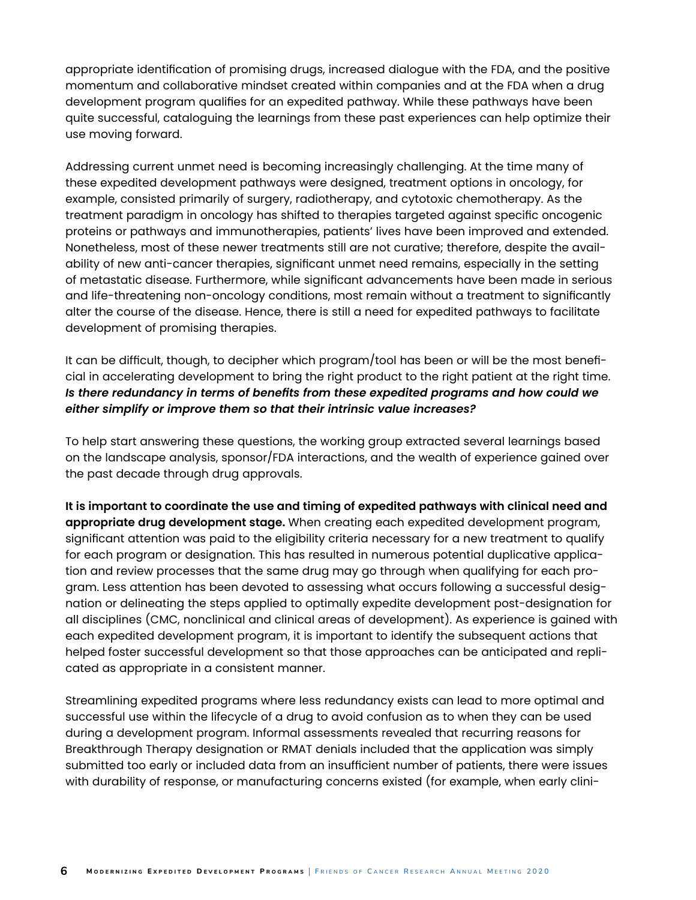appropriate identification of promising drugs, increased dialogue with the FDA, and the positive momentum and collaborative mindset created within companies and at the FDA when a drug development program qualifies for an expedited pathway. While these pathways have been quite successful, cataloguing the learnings from these past experiences can help optimize their use moving forward.

Addressing current unmet need is becoming increasingly challenging. At the time many of these expedited development pathways were designed, treatment options in oncology, for example, consisted primarily of surgery, radiotherapy, and cytotoxic chemotherapy. As the treatment paradigm in oncology has shifted to therapies targeted against specific oncogenic proteins or pathways and immunotherapies, patients' lives have been improved and extended. Nonetheless, most of these newer treatments still are not curative; therefore, despite the availability of new anti-cancer therapies, significant unmet need remains, especially in the setting of metastatic disease. Furthermore, while significant advancements have been made in serious and life-threatening non-oncology conditions, most remain without a treatment to significantly alter the course of the disease. Hence, there is still a need for expedited pathways to facilitate development of promising therapies.

It can be difficult, though, to decipher which program/tool has been or will be the most beneficial in accelerating development to bring the right product to the right patient at the right time. *Is there redundancy in terms of benefits from these expedited programs and how could we either simplify or improve them so that their intrinsic value increases?*

To help start answering these questions, the working group extracted several learnings based on the landscape analysis, sponsor/FDA interactions, and the wealth of experience gained over the past decade through drug approvals.

**It is important to coordinate the use and timing of expedited pathways with clinical need and appropriate drug development stage.** When creating each expedited development program, significant attention was paid to the eligibility criteria necessary for a new treatment to qualify for each program or designation. This has resulted in numerous potential duplicative application and review processes that the same drug may go through when qualifying for each program. Less attention has been devoted to assessing what occurs following a successful designation or delineating the steps applied to optimally expedite development post-designation for all disciplines (CMC, nonclinical and clinical areas of development). As experience is gained with each expedited development program, it is important to identify the subsequent actions that helped foster successful development so that those approaches can be anticipated and replicated as appropriate in a consistent manner.

Streamlining expedited programs where less redundancy exists can lead to more optimal and successful use within the lifecycle of a drug to avoid confusion as to when they can be used during a development program. Informal assessments revealed that recurring reasons for Breakthrough Therapy designation or RMAT denials included that the application was simply submitted too early or included data from an insufficient number of patients, there were issues with durability of response, or manufacturing concerns existed (for example, when early clini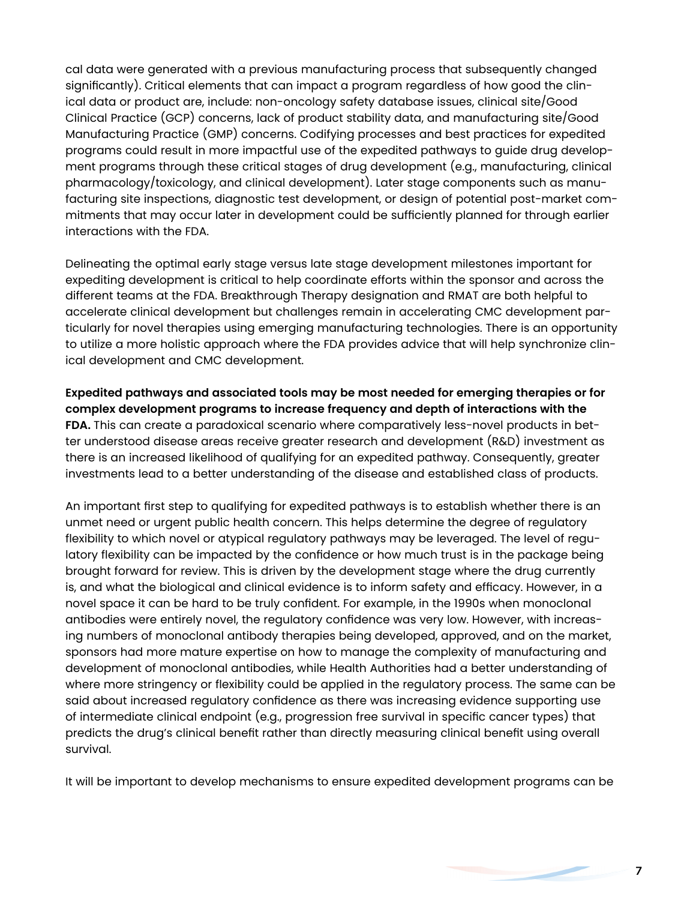cal data were generated with a previous manufacturing process that subsequently changed significantly). Critical elements that can impact a program regardless of how good the clinical data or product are, include: non-oncology safety database issues, clinical site/Good Clinical Practice (GCP) concerns, lack of product stability data, and manufacturing site/Good Manufacturing Practice (GMP) concerns. Codifying processes and best practices for expedited programs could result in more impactful use of the expedited pathways to guide drug development programs through these critical stages of drug development (e.g., manufacturing, clinical pharmacology/toxicology, and clinical development). Later stage components such as manufacturing site inspections, diagnostic test development, or design of potential post-market commitments that may occur later in development could be sufficiently planned for through earlier interactions with the FDA.

Delineating the optimal early stage versus late stage development milestones important for expediting development is critical to help coordinate efforts within the sponsor and across the different teams at the FDA. Breakthrough Therapy designation and RMAT are both helpful to accelerate clinical development but challenges remain in accelerating CMC development particularly for novel therapies using emerging manufacturing technologies. There is an opportunity to utilize a more holistic approach where the FDA provides advice that will help synchronize clinical development and CMC development.

**Expedited pathways and associated tools may be most needed for emerging therapies or for complex development programs to increase frequency and depth of interactions with the FDA.** This can create a paradoxical scenario where comparatively less-novel products in better understood disease areas receive greater research and development (R&D) investment as there is an increased likelihood of qualifying for an expedited pathway. Consequently, greater investments lead to a better understanding of the disease and established class of products.

An important first step to qualifying for expedited pathways is to establish whether there is an unmet need or urgent public health concern. This helps determine the degree of regulatory flexibility to which novel or atypical regulatory pathways may be leveraged. The level of regulatory flexibility can be impacted by the confidence or how much trust is in the package being brought forward for review. This is driven by the development stage where the drug currently is, and what the biological and clinical evidence is to inform safety and efficacy. However, in a novel space it can be hard to be truly confident. For example, in the 1990s when monoclonal antibodies were entirely novel, the regulatory confidence was very low. However, with increasing numbers of monoclonal antibody therapies being developed, approved, and on the market, sponsors had more mature expertise on how to manage the complexity of manufacturing and development of monoclonal antibodies, while Health Authorities had a better understanding of where more stringency or flexibility could be applied in the regulatory process. The same can be said about increased regulatory confidence as there was increasing evidence supporting use of intermediate clinical endpoint (e.g., progression free survival in specific cancer types) that predicts the drug's clinical benefit rather than directly measuring clinical benefit using overall survival.

It will be important to develop mechanisms to ensure expedited development programs can be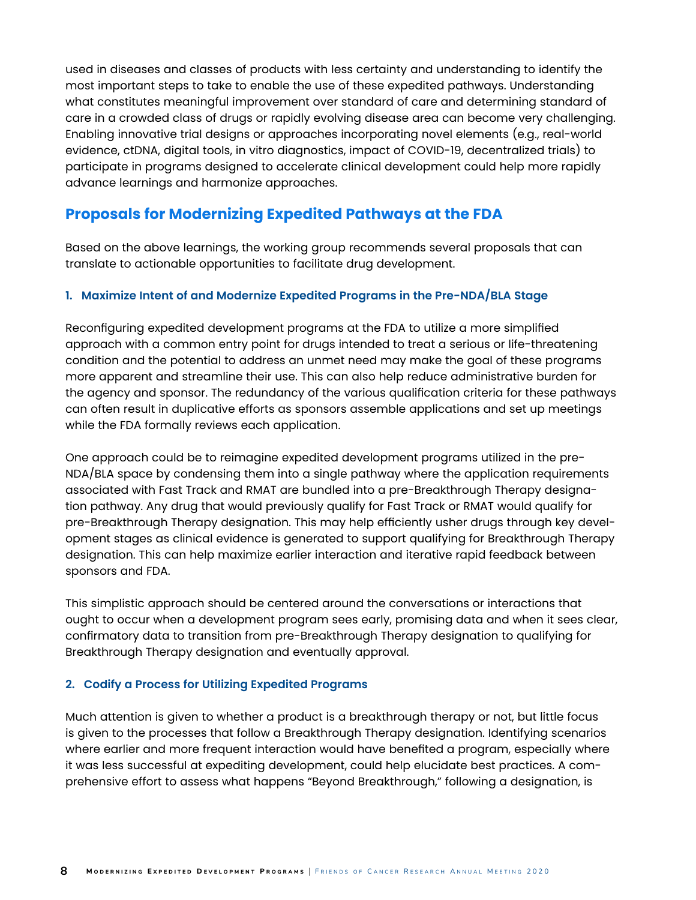used in diseases and classes of products with less certainty and understanding to identify the most important steps to take to enable the use of these expedited pathways. Understanding what constitutes meaningful improvement over standard of care and determining standard of care in a crowded class of drugs or rapidly evolving disease area can become very challenging. Enabling innovative trial designs or approaches incorporating novel elements (e.g., real-world evidence, ctDNA, digital tools, in vitro diagnostics, impact of COVID-19, decentralized trials) to participate in programs designed to accelerate clinical development could help more rapidly advance learnings and harmonize approaches.

## **Proposals for Modernizing Expedited Pathways at the FDA**

Based on the above learnings, the working group recommends several proposals that can translate to actionable opportunities to facilitate drug development.

#### **1. Maximize Intent of and Modernize Expedited Programs in the Pre-NDA/BLA Stage**

Reconfiguring expedited development programs at the FDA to utilize a more simplified approach with a common entry point for drugs intended to treat a serious or life-threatening condition and the potential to address an unmet need may make the goal of these programs more apparent and streamline their use. This can also help reduce administrative burden for the agency and sponsor. The redundancy of the various qualification criteria for these pathways can often result in duplicative efforts as sponsors assemble applications and set up meetings while the FDA formally reviews each application.

One approach could be to reimagine expedited development programs utilized in the pre-NDA/BLA space by condensing them into a single pathway where the application requirements associated with Fast Track and RMAT are bundled into a pre-Breakthrough Therapy designation pathway. Any drug that would previously qualify for Fast Track or RMAT would qualify for pre-Breakthrough Therapy designation. This may help efficiently usher drugs through key development stages as clinical evidence is generated to support qualifying for Breakthrough Therapy designation. This can help maximize earlier interaction and iterative rapid feedback between sponsors and FDA.

This simplistic approach should be centered around the conversations or interactions that ought to occur when a development program sees early, promising data and when it sees clear, confirmatory data to transition from pre-Breakthrough Therapy designation to qualifying for Breakthrough Therapy designation and eventually approval.

#### **2. Codify a Process for Utilizing Expedited Programs**

Much attention is given to whether a product is a breakthrough therapy or not, but little focus is given to the processes that follow a Breakthrough Therapy designation. Identifying scenarios where earlier and more frequent interaction would have benefited a program, especially where it was less successful at expediting development, could help elucidate best practices. A comprehensive effort to assess what happens "Beyond Breakthrough," following a designation, is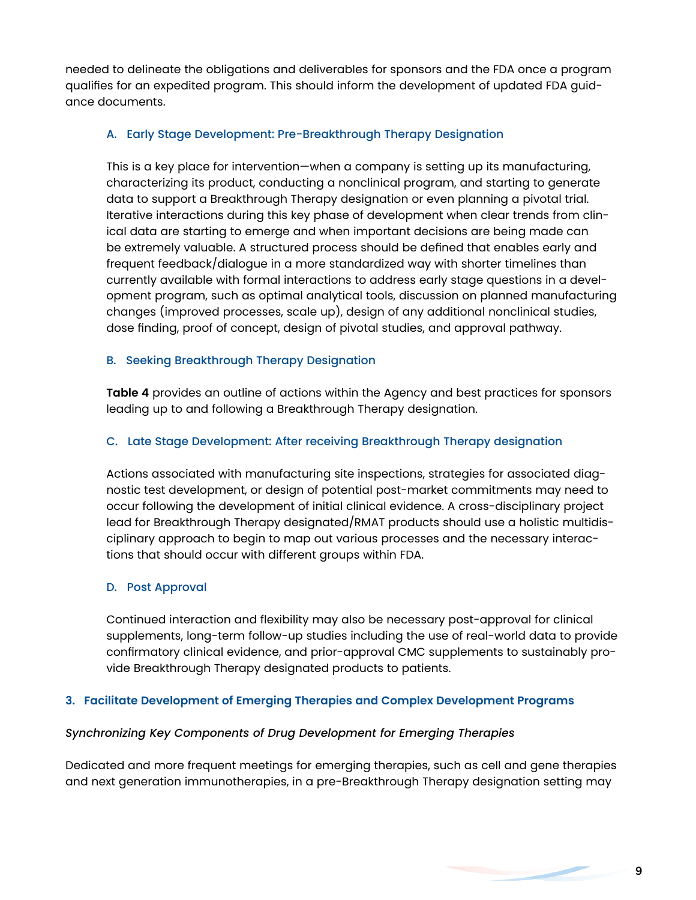needed to delineate the obligations and deliverables for sponsors and the FDA once a program qualifies for an expedited program. This should inform the development of updated FDA guidance documents.

#### A. Early Stage Development: Pre-Breakthrough Therapy Designation

This is a key place for intervention—when a company is setting up its manufacturing, characterizing its product, conducting a nonclinical program, and starting to generate data to support a Breakthrough Therapy designation or even planning a pivotal trial. Iterative interactions during this key phase of development when clear trends from clinical data are starting to emerge and when important decisions are being made can be extremely valuable. A structured process should be defined that enables early and frequent feedback/dialogue in a more standardized way with shorter timelines than currently available with formal interactions to address early stage questions in a development program, such as optimal analytical tools, discussion on planned manufacturing changes (improved processes, scale up), design of any additional nonclinical studies, dose finding, proof of concept, design of pivotal studies, and approval pathway.

#### B. Seeking Breakthrough Therapy Designation

**Table 4** provides an outline of actions within the Agency and best practices for sponsors leading up to and following a Breakthrough Therapy designation.

#### C. Late Stage Development: After receiving Breakthrough Therapy designation

Actions associated with manufacturing site inspections, strategies for associated diagnostic test development, or design of potential post-market commitments may need to occur following the development of initial clinical evidence. A cross-disciplinary project lead for Breakthrough Therapy designated/RMAT products should use a holistic multidisciplinary approach to begin to map out various processes and the necessary interactions that should occur with different groups within FDA.

#### D. Post Approval

Continued interaction and flexibility may also be necessary post-approval for clinical supplements, long-term follow-up studies including the use of real-world data to provide confirmatory clinical evidence, and prior-approval CMC supplements to sustainably provide Breakthrough Therapy designated products to patients.

#### **3. Facilitate Development of Emerging Therapies and Complex Development Programs**

#### *Synchronizing Key Components of Drug Development for Emerging Therapies*

Dedicated and more frequent meetings for emerging therapies, such as cell and gene therapies and next generation immunotherapies, in a pre-Breakthrough Therapy designation setting may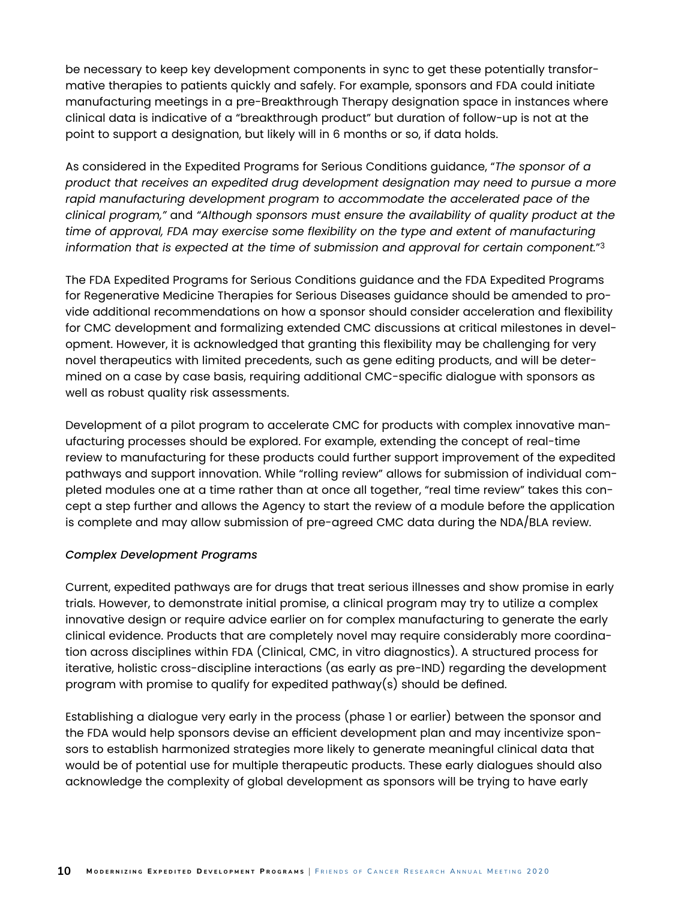be necessary to keep key development components in sync to get these potentially transformative therapies to patients quickly and safely. For example, sponsors and FDA could initiate manufacturing meetings in a pre-Breakthrough Therapy designation space in instances where clinical data is indicative of a "breakthrough product" but duration of follow-up is not at the point to support a designation, but likely will in 6 months or so, if data holds.

As considered in the Expedited Programs for Serious Conditions guidance, "*The sponsor of a product that receives an expedited drug development designation may need to pursue a more*  rapid manufacturing development program to accommodate the accelerated pace of the *clinical program,"* and *"Although sponsors must ensure the availability of quality product at the time of approval, FDA may exercise some flexibility on the type and extent of manufacturing information that is expected at the time of submission and approval for certain component.*"3

The FDA Expedited Programs for Serious Conditions guidance and the FDA Expedited Programs for Regenerative Medicine Therapies for Serious Diseases guidance should be amended to provide additional recommendations on how a sponsor should consider acceleration and flexibility for CMC development and formalizing extended CMC discussions at critical milestones in development. However, it is acknowledged that granting this flexibility may be challenging for very novel therapeutics with limited precedents, such as gene editing products, and will be determined on a case by case basis, requiring additional CMC-specific dialogue with sponsors as well as robust quality risk assessments.

Development of a pilot program to accelerate CMC for products with complex innovative manufacturing processes should be explored. For example, extending the concept of real-time review to manufacturing for these products could further support improvement of the expedited pathways and support innovation. While "rolling review" allows for submission of individual completed modules one at a time rather than at once all together, "real time review" takes this concept a step further and allows the Agency to start the review of a module before the application is complete and may allow submission of pre-agreed CMC data during the NDA/BLA review.

#### *Complex Development Programs*

Current, expedited pathways are for drugs that treat serious illnesses and show promise in early trials. However, to demonstrate initial promise, a clinical program may try to utilize a complex innovative design or require advice earlier on for complex manufacturing to generate the early clinical evidence. Products that are completely novel may require considerably more coordination across disciplines within FDA (Clinical, CMC, in vitro diagnostics). A structured process for iterative, holistic cross-discipline interactions (as early as pre-IND) regarding the development program with promise to qualify for expedited pathway(s) should be defined.

Establishing a dialogue very early in the process (phase 1 or earlier) between the sponsor and the FDA would help sponsors devise an efficient development plan and may incentivize sponsors to establish harmonized strategies more likely to generate meaningful clinical data that would be of potential use for multiple therapeutic products. These early dialogues should also acknowledge the complexity of global development as sponsors will be trying to have early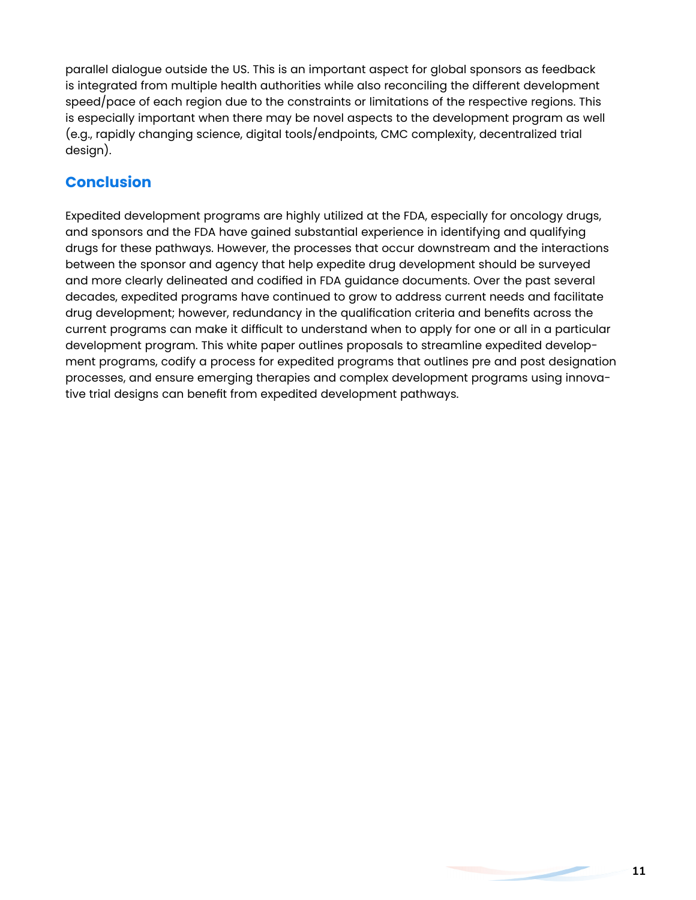parallel dialogue outside the US. This is an important aspect for global sponsors as feedback is integrated from multiple health authorities while also reconciling the different development speed/pace of each region due to the constraints or limitations of the respective regions. This is especially important when there may be novel aspects to the development program as well (e.g., rapidly changing science, digital tools/endpoints, CMC complexity, decentralized trial design).

## **Conclusion**

Expedited development programs are highly utilized at the FDA, especially for oncology drugs, and sponsors and the FDA have gained substantial experience in identifying and qualifying drugs for these pathways. However, the processes that occur downstream and the interactions between the sponsor and agency that help expedite drug development should be surveyed and more clearly delineated and codified in FDA guidance documents. Over the past several decades, expedited programs have continued to grow to address current needs and facilitate drug development; however, redundancy in the qualification criteria and benefits across the current programs can make it difficult to understand when to apply for one or all in a particular development program. This white paper outlines proposals to streamline expedited development programs, codify a process for expedited programs that outlines pre and post designation processes, and ensure emerging therapies and complex development programs using innovative trial designs can benefit from expedited development pathways.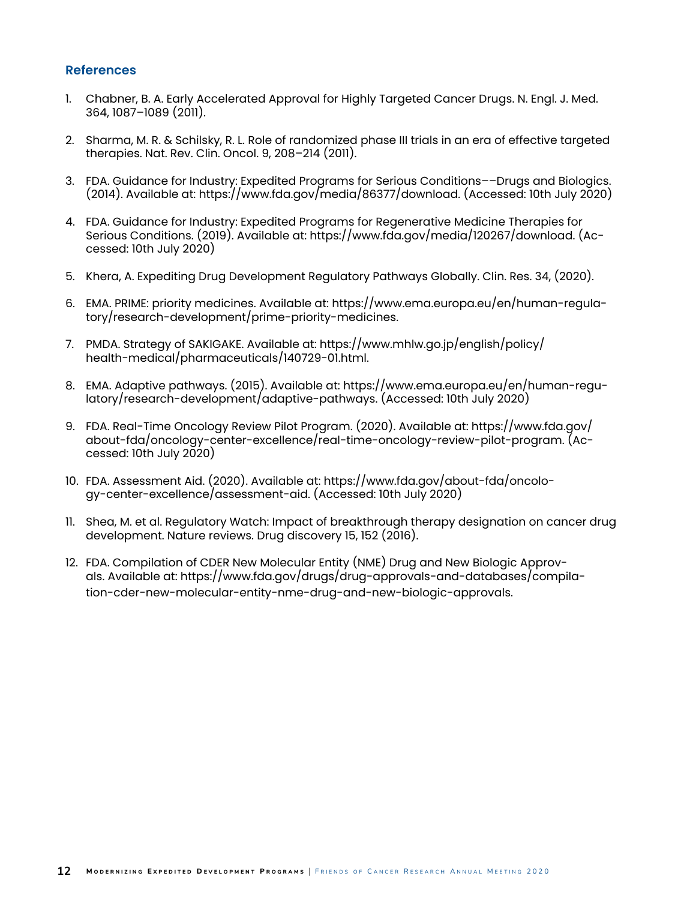#### **References**

- 1. Chabner, B. A. Early Accelerated Approval for Highly Targeted Cancer Drugs. N. Engl. J. Med. 364, 1087–1089 (2011).
- 2. Sharma, M. R. & Schilsky, R. L. Role of randomized phase III trials in an era of effective targeted therapies. Nat. Rev. Clin. Oncol. 9, 208–214 (2011).
- 3. FDA. Guidance for Industry: Expedited Programs for Serious Conditions––Drugs and Biologics. (2014). Available at: https://www.fda.gov/media/86377/download. (Accessed: 10th July 2020)
- 4. FDA. Guidance for Industry: Expedited Programs for Regenerative Medicine Therapies for Serious Conditions. (2019). Available at: https://www.fda.gov/media/120267/download. (Accessed: 10th July 2020)
- 5. Khera, A. Expediting Drug Development Regulatory Pathways Globally. Clin. Res. 34, (2020).
- 6. EMA. PRIME: priority medicines. Available at: https://www.ema.europa.eu/en/human-regulatory/research-development/prime-priority-medicines.
- 7. PMDA. Strategy of SAKIGAKE. Available at: https://www.mhlw.go.jp/english/policy/ health-medical/pharmaceuticals/140729-01.html.
- 8. EMA. Adaptive pathways. (2015). Available at: https://www.ema.europa.eu/en/human-regulatory/research-development/adaptive-pathways. (Accessed: 10th July 2020)
- 9. FDA. Real-Time Oncology Review Pilot Program. (2020). Available at: https://www.fda.gov/ about-fda/oncology-center-excellence/real-time-oncology-review-pilot-program. (Accessed: 10th July 2020)
- 10. FDA. Assessment Aid. (2020). Available at: https://www.fda.gov/about-fda/oncology-center-excellence/assessment-aid. (Accessed: 10th July 2020)
- 11. Shea, M. et al. Regulatory Watch: Impact of breakthrough therapy designation on cancer drug development. Nature reviews. Drug discovery 15, 152 (2016).
- 12. FDA. Compilation of CDER New Molecular Entity (NME) Drug and New Biologic Approvals. Available at: https://www.fda.gov/drugs/drug-approvals-and-databases/compilation-cder-new-molecular-entity-nme-drug-and-new-biologic-approvals.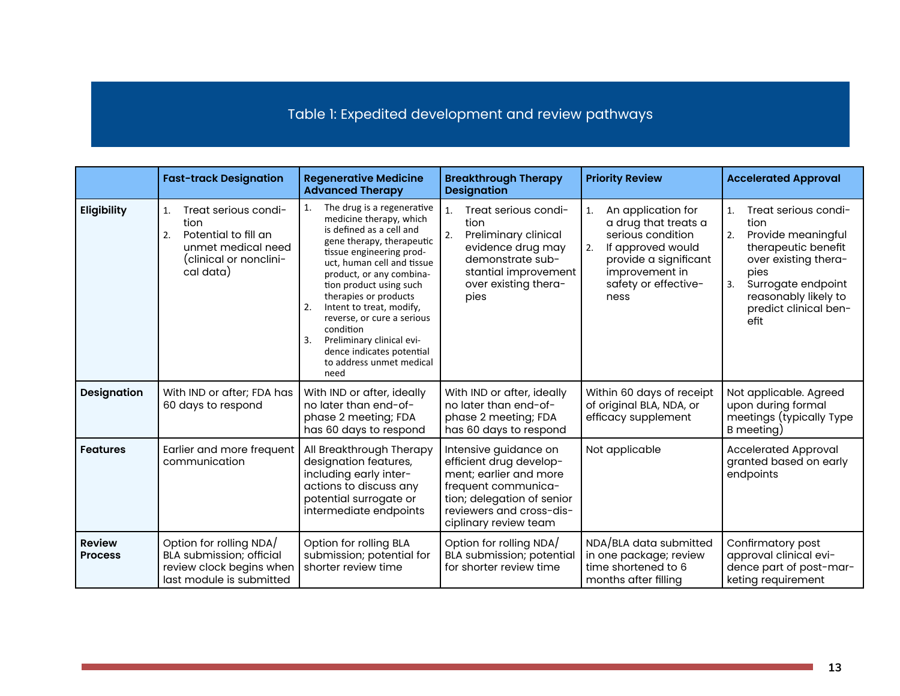Table 1: Expedited development and review pathways

|                                 | <b>Fast-track Designation</b>                                                                                                           | <b>Regenerative Medicine</b><br><b>Advanced Therapy</b>                                                                                                                                                                                                                                                                                                                                                                                         | <b>Breakthrough Therapy</b><br><b>Designation</b>                                                                                                                                    | <b>Priority Review</b>                                                                                                                                                      | <b>Accelerated Approval</b>                                                                                                                                                                                |
|---------------------------------|-----------------------------------------------------------------------------------------------------------------------------------------|-------------------------------------------------------------------------------------------------------------------------------------------------------------------------------------------------------------------------------------------------------------------------------------------------------------------------------------------------------------------------------------------------------------------------------------------------|--------------------------------------------------------------------------------------------------------------------------------------------------------------------------------------|-----------------------------------------------------------------------------------------------------------------------------------------------------------------------------|------------------------------------------------------------------------------------------------------------------------------------------------------------------------------------------------------------|
| Eligibility                     | Treat serious condi-<br>$\mathbf{1}$<br>tion<br>Potential to fill an<br>2.<br>unmet medical need<br>(clinical or nonclini-<br>cal data) | The drug is a regenerative<br>1.<br>medicine therapy, which<br>is defined as a cell and<br>gene therapy, therapeutic<br>tissue engineering prod-<br>uct, human cell and tissue<br>product, or any combina-<br>tion product using such<br>therapies or products<br>Intent to treat, modify,<br>2.<br>reverse, or cure a serious<br>condition<br>Preliminary clinical evi-<br>3.<br>dence indicates potential<br>to address unmet medical<br>need | Treat serious condi-<br>1.<br>tion<br>Preliminary clinical<br>2.<br>evidence drug may<br>demonstrate sub-<br>stantial improvement<br>over existing thera-<br>pies                    | An application for<br>1.<br>a drug that treats a<br>serious condition<br>If approved would<br>2.<br>provide a significant<br>improvement in<br>safety or effective-<br>ness | Treat serious condi-<br>1.<br>tion<br>Provide meaningful<br>2.<br>therapeutic benefit<br>over existing thera-<br>pies<br>Surrogate endpoint<br>3.<br>reasonably likely to<br>predict clinical ben-<br>efit |
| <b>Designation</b>              | With IND or after; FDA has<br>60 days to respond                                                                                        | With IND or after, ideally<br>no later than end-of-<br>phase 2 meeting; FDA<br>has 60 days to respond                                                                                                                                                                                                                                                                                                                                           | With IND or after, ideally<br>no later than end-of-<br>phase 2 meeting; FDA<br>has 60 days to respond                                                                                | Within 60 days of receipt<br>of original BLA, NDA, or<br>efficacy supplement                                                                                                | Not applicable. Agreed<br>upon during formal<br>meetings (typically Type<br>B meeting)                                                                                                                     |
| <b>Features</b>                 | Earlier and more frequent<br>communication                                                                                              | All Breakthrough Therapy<br>designation features,<br>including early inter-<br>actions to discuss any<br>potential surrogate or<br>intermediate endpoints                                                                                                                                                                                                                                                                                       | Intensive guidance on<br>efficient drug develop-<br>ment; earlier and more<br>frequent communica-<br>tion; delegation of senior<br>reviewers and cross-dis-<br>ciplinary review team | Not applicable                                                                                                                                                              | <b>Accelerated Approval</b><br>granted based on early<br>endpoints                                                                                                                                         |
| <b>Review</b><br><b>Process</b> | Option for rolling NDA/<br>BLA submission; official<br>review clock begins when<br>last module is submitted                             | Option for rolling BLA<br>submission; potential for<br>shorter review time                                                                                                                                                                                                                                                                                                                                                                      | Option for rolling NDA/<br>BLA submission; potential<br>for shorter review time                                                                                                      | NDA/BLA data submitted<br>in one package; review<br>time shortened to 6<br>months after filling                                                                             | Confirmatory post<br>approval clinical evi-<br>dence part of post-mar-<br>keting requirement                                                                                                               |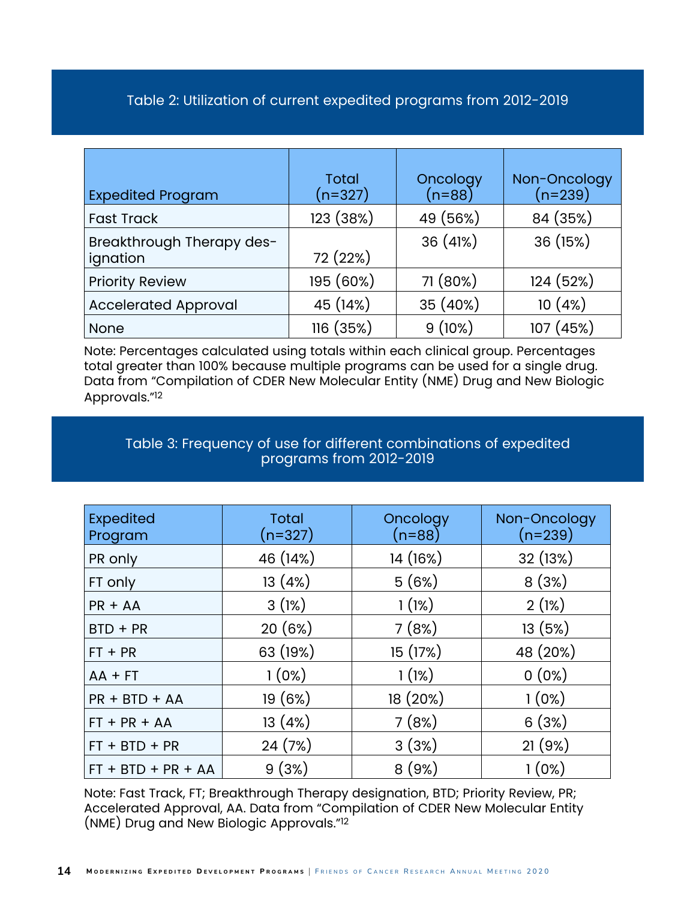## Table 2: Utilization of current expedited programs from 2012-2019

| <b>Expedited Program</b>              | <b>Total</b><br>$(n=327)$ | Oncology<br>$(n=88)$ | Non-Oncology<br>(n=239) |
|---------------------------------------|---------------------------|----------------------|-------------------------|
| <b>Fast Track</b>                     | 123 (38%)                 | 49 (56%)             | 84 (35%)                |
| Breakthrough Therapy des-<br>ignation | 72 (22%)                  | 36 (41%)             | 36 (15%)                |
| <b>Priority Review</b>                | 195 (60%)                 | 71 (80%)             | 124 (52%)               |
| <b>Accelerated Approval</b>           | 45 (14%)                  | 35 (40%)             | 10(4%)                  |
| <b>None</b>                           | 116 (35%)                 | 9(10%)               | 107 (45%)               |

Note: Percentages calculated using totals within each clinical group. Percentages total greater than 100% because multiple programs can be used for a single drug. Data from "Compilation of CDER New Molecular Entity (NME) Drug and New Biologic Approvals."12

## Table 3: Frequency of use for different combinations of expedited programs from 2012-2019

| <b>Expedited</b><br>Program | <b>Total</b><br>$(n=327)$ | Oncology<br>$(n=88)$ | Non-Oncology<br>$(n=239)$ |
|-----------------------------|---------------------------|----------------------|---------------------------|
| PR only                     | 46 (14%)                  | 14 (16%)             | 32 (13%)                  |
| FT only                     | 13(4%)                    | 5(6%)                | 8(3%)                     |
| $PR + AA$                   | 3(1%)                     | 1(1%)                | 2(1%)                     |
| $BTD + PR$                  | 20(6%)                    | 7(8%)                | 13(5%)                    |
| $FT + PR$                   | 63 (19%)                  | 15 (17%)             | 48 (20%)                  |
| $AA$ + FT                   | $1(0\%)$                  | 1(1%)                | $0(0\%)$                  |
| $PR + BTD + AA$             | 19(6%)                    | 18 (20%)             | $1(0\%)$                  |
| $FT + PR + AA$              | 13(4%)                    | 7(8%)                | 6(3%)                     |
| $FT + BTD + PR$             | 24(7%)                    | 3(3%)                | 21(9%)                    |
| $FT + BTD + PR + AA$        | 9(3%)                     | 8(9%)                | 1(0%)                     |

Note: Fast Track, FT; Breakthrough Therapy designation, BTD; Priority Review, PR; Accelerated Approval, AA. Data from "Compilation of CDER New Molecular Entity (NME) Drug and New Biologic Approvals."12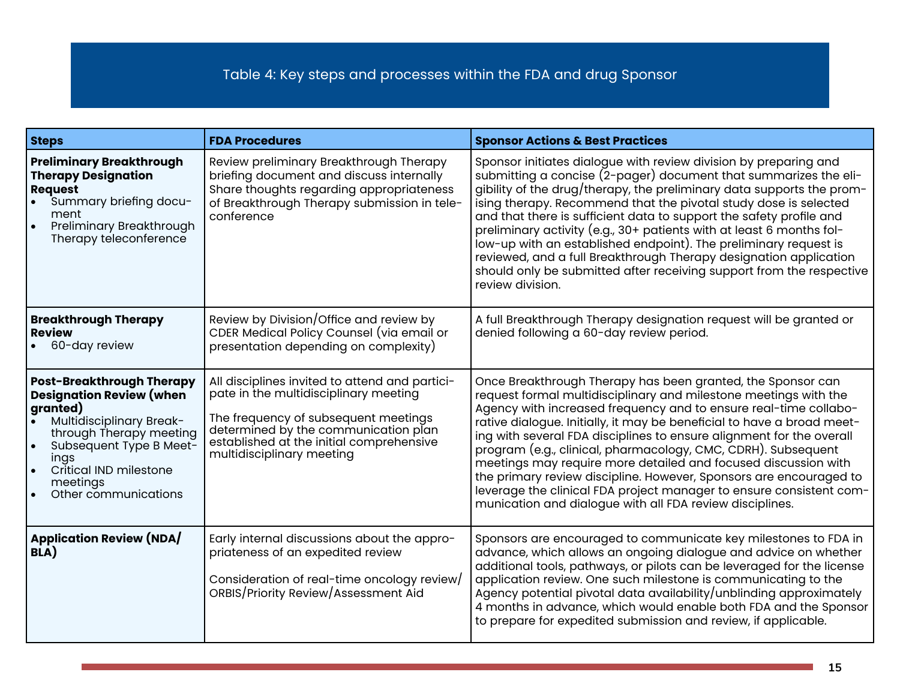## Table 4: Key steps and processes within the FDA and drug Sponsor

| <b>Steps</b>                                                                                                                                                                                                                                   | <b>FDA Procedures</b>                                                                                                                                                                                                                            | <b>Sponsor Actions &amp; Best Practices</b>                                                                                                                                                                                                                                                                                                                                                                                                                                                                                                                                                                                                                                                       |
|------------------------------------------------------------------------------------------------------------------------------------------------------------------------------------------------------------------------------------------------|--------------------------------------------------------------------------------------------------------------------------------------------------------------------------------------------------------------------------------------------------|---------------------------------------------------------------------------------------------------------------------------------------------------------------------------------------------------------------------------------------------------------------------------------------------------------------------------------------------------------------------------------------------------------------------------------------------------------------------------------------------------------------------------------------------------------------------------------------------------------------------------------------------------------------------------------------------------|
| <b>Preliminary Breakthrough</b><br><b>Therapy Designation</b><br><b>Request</b><br>Summary briefing docu-<br>ment<br><b>Preliminary Breakthrough</b><br>Therapy teleconference                                                                 | Review preliminary Breakthrough Therapy<br>briefing document and discuss internally<br>Share thoughts regarding appropriateness<br>of Breakthrough Therapy submission in tele-<br>conference                                                     | Sponsor initiates dialogue with review division by preparing and<br>submitting a concise (2-pager) document that summarizes the eli-<br>gibility of the drug/therapy, the preliminary data supports the prom-<br>ising therapy. Recommend that the pivotal study dose is selected<br>and that there is sufficient data to support the safety profile and<br>preliminary activity (e.g., 30+ patients with at least 6 months fol-<br>low-up with an established endpoint). The preliminary request is<br>reviewed, and a full Breakthrough Therapy designation application<br>should only be submitted after receiving support from the respective<br>review division.                             |
| <b>Breakthrough Therapy</b><br><b>Review</b><br>60-day review                                                                                                                                                                                  | Review by Division/Office and review by<br>CDER Medical Policy Counsel (via email or<br>presentation depending on complexity)                                                                                                                    | A full Breakthrough Therapy designation request will be granted or<br>denied following a 60-day review period.                                                                                                                                                                                                                                                                                                                                                                                                                                                                                                                                                                                    |
| <b>Post-Breakthrough Therapy</b><br><b>Designation Review (when</b><br>granted)<br><b>Multidisciplinary Break-</b><br>through Therapy meeting<br>Subsequent Type B Meet-<br>ings<br>Critical IND milestone<br>meetings<br>Other communications | All disciplines invited to attend and partici-<br>pate in the multidisciplinary meeting<br>The frequency of subsequent meetings<br>determined by the communication plan<br>established at the initial comprehensive<br>multidisciplinary meeting | Once Breakthrough Therapy has been granted, the Sponsor can<br>request formal multidisciplinary and milestone meetings with the<br>Agency with increased frequency and to ensure real-time collabo-<br>rative dialogue. Initially, it may be beneficial to have a broad meet-<br>ing with several FDA disciplines to ensure alignment for the overall<br>program (e.g., clinical, pharmacology, CMC, CDRH). Subsequent<br>meetings may require more detailed and focused discussion with<br>the primary review discipline. However, Sponsors are encouraged to<br>leverage the clinical FDA project manager to ensure consistent com-<br>munication and dialogue with all FDA review disciplines. |
| <b>Application Review (NDA/</b><br>BLA)                                                                                                                                                                                                        | Early internal discussions about the appro-<br>priateness of an expedited review<br>Consideration of real-time oncology review/<br>ORBIS/Priority Review/Assessment Aid                                                                          | Sponsors are encouraged to communicate key milestones to FDA in<br>advance, which allows an ongoing dialogue and advice on whether<br>additional tools, pathways, or pilots can be leveraged for the license<br>application review. One such milestone is communicating to the<br>Agency potential pivotal data availability/unblinding approximately<br>4 months in advance, which would enable both FDA and the Sponsor<br>to prepare for expedited submission and review, if applicable.                                                                                                                                                                                                       |